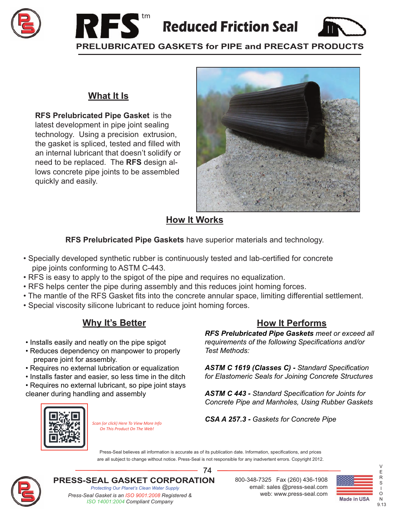



#### **What It Is**

**RFS Prelubricated Pipe Gasket** is the latest development in pipe joint sealing technology. Using a precision extrusion, the gasket is spliced, tested and filled with an internal lubricant that doesn't solidify or need to be replaced. The **RFS** design allows concrete pipe joints to be assembled quickly and easily.



### **How It Works**

**RFS Prelubricated Pipe Gaskets** have superior materials and technology.

- Specially developed synthetic rubber is continuously tested and lab-certified for concrete pipe joints conforming to ASTM C-443.
- RFS is easy to apply to the spigot of the pipe and requires no equalization.
- RFS helps center the pipe during assembly and this reduces joint homing forces.
- The mantle of the RFS Gasket fits into the concrete annular space, limiting differential settlement.
- Special viscosity silicone lubricant to reduce joint homing forces.

# **Why It's Better**

- Installs easily and neatly on the pipe spigot
- Reduces dependency on manpower to properly prepare joint for assembly.
- Requires no external lubrication or equalization
- Installs faster and easier, so less time in the ditch
- Requires no external lubricant, so pipe joint stays cleaner during handling and assembly

## **How It Performs**

*RFS Prelubricated Pipe Gaskets meet or exceed all requirements of the following Specifications and/or Test Methods:*

*ASTM C 1619 (Classes C) - Standard Specification for Elastomeric Seals for Joining Concrete Structures*

*ASTM C 443 - Standard Specification for Joints for Concrete Pipe and Manholes, Using Rubber Gaskets*



*Scan (or click) Here To View More Info On This Product On The Web!*

*CSA A 257.3 - Gaskets for Concrete Pipe*

Press-Seal believes all information is accurate as of its publication date. Information, specifications, and prices are all subject to change without notice. Press-Seal is not responsible for any inadvertent errors. Copyright 2012.

74



**PRESS-SEAL GASKET CORPORATION** 800-348-7325 Fax (260) 436-1908

*Protecting Our Planet's Clean Water Supply Press-Seal Gasket is an ISO 9001:2008 Registered &* web: www.press-seal.com *ISO 14001:2004 Compliant Company*

email: sales @press-seal.com



V

9.13